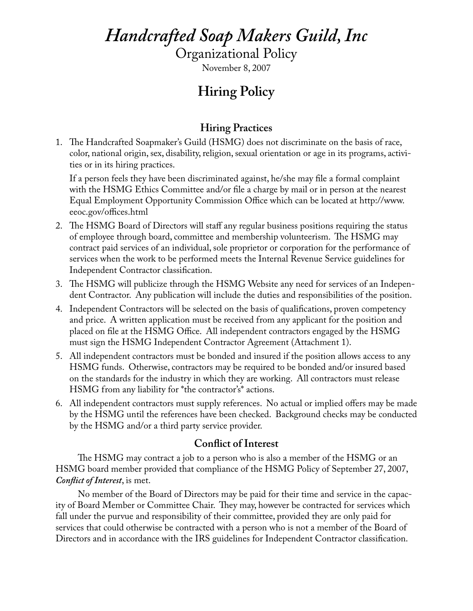# *Handcrafted Soap Makers Guild, Inc*

Organizational Policy

November 8, 2007

# **Hiring Policy**

# **Hiring Practices**

1. The Handcrafted Soapmaker's Guild (HSMG) does not discriminate on the basis of race, color, national origin, sex, disability, religion, sexual orientation or age in its programs, activities or in its hiring practices.

If a person feels they have been discriminated against, he/she may file a formal complaint with the HSMG Ethics Committee and/or file a charge by mail or in person at the nearest Equal Employment Opportunity Commission Office which can be located at http://www. eeoc.gov/offices.html

- 2. The HSMG Board of Directors will staff any regular business positions requiring the status of employee through board, committee and membership volunteerism. The HSMG may contract paid services of an individual, sole proprietor or corporation for the performance of services when the work to be performed meets the Internal Revenue Service guidelines for Independent Contractor classification.
- 3. The HSMG will publicize through the HSMG Website any need for services of an Independent Contractor. Any publication will include the duties and responsibilities of the position.
- 4. Independent Contractors will be selected on the basis of qualifications, proven competency and price. A written application must be received from any applicant for the position and placed on file at the HSMG Office. All independent contractors engaged by the HSMG must sign the HSMG Independent Contractor Agreement (Attachment 1).
- 5. All independent contractors must be bonded and insured if the position allows access to any HSMG funds. Otherwise, contractors may be required to be bonded and/or insured based on the standards for the industry in which they are working. All contractors must release HSMG from any liability for \*the contractor's\* actions.
- 6. All independent contractors must supply references. No actual or implied offers may be made by the HSMG until the references have been checked. Background checks may be conducted by the HSMG and/or a third party service provider.

## **Conflict of Interest**

The HSMG may contract a job to a person who is also a member of the HSMG or an HSMG board member provided that compliance of the HSMG Policy of September 27, 2007, *Conflict of Interest*, is met.

No member of the Board of Directors may be paid for their time and service in the capacity of Board Member or Committee Chair. They may, however be contracted for services which fall under the purvue and responsibility of their committee, provided they are only paid for services that could otherwise be contracted with a person who is not a member of the Board of Directors and in accordance with the IRS guidelines for Independent Contractor classification.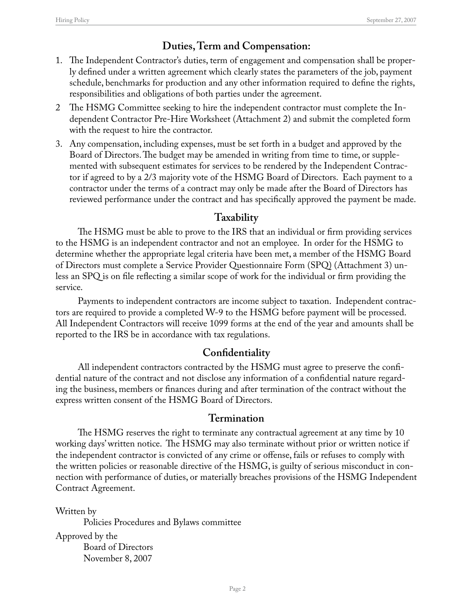## **Duties, Term and Compensation:**

- 1. The Independent Contractor's duties, term of engagement and compensation shall be properly defined under a written agreement which clearly states the parameters of the job, payment schedule, benchmarks for production and any other information required to define the rights, responsibilities and obligations of both parties under the agreement.
- 2 The HSMG Committee seeking to hire the independent contractor must complete the Independent Contractor Pre-Hire Worksheet (Attachment 2) and submit the completed form with the request to hire the contractor.
- 3. Any compensation, including expenses, must be set forth in a budget and approved by the Board of Directors. The budget may be amended in writing from time to time, or supplemented with subsequent estimates for services to be rendered by the Independent Contractor if agreed to by a 2/3 majority vote of the HSMG Board of Directors. Each payment to a contractor under the terms of a contract may only be made after the Board of Directors has reviewed performance under the contract and has specifically approved the payment be made.

## **Taxability**

The HSMG must be able to prove to the IRS that an individual or firm providing services to the HSMG is an independent contractor and not an employee. In order for the HSMG to determine whether the appropriate legal criteria have been met, a member of the HSMG Board of Directors must complete a Service Provider Questionnaire Form (SPQ) (Attachment 3) unless an SPQ is on file reflecting a similar scope of work for the individual or firm providing the service.

Payments to independent contractors are income subject to taxation. Independent contractors are required to provide a completed W-9 to the HSMG before payment will be processed. All Independent Contractors will receive 1099 forms at the end of the year and amounts shall be reported to the IRS be in accordance with tax regulations.

#### **Confidentiality**

All independent contractors contracted by the HSMG must agree to preserve the confidential nature of the contract and not disclose any information of a confidential nature regarding the business, members or finances during and after termination of the contract without the express written consent of the HSMG Board of Directors.

#### **Termination**

The HSMG reserves the right to terminate any contractual agreement at any time by 10 working days' written notice. The HSMG may also terminate without prior or written notice if the independent contractor is convicted of any crime or offense, fails or refuses to comply with the written policies or reasonable directive of the HSMG, is guilty of serious misconduct in connection with performance of duties, or materially breaches provisions of the HSMG Independent Contract Agreement.

Written by Policies Procedures and Bylaws committee Approved by the Board of Directors November 8, 2007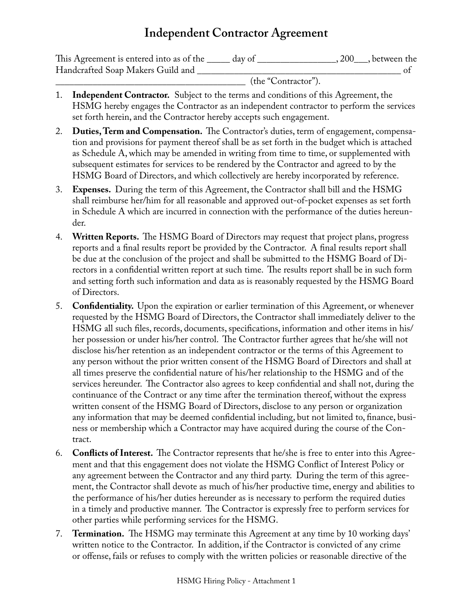# **Independent Contractor Agreement**

| This Agreement is entered into as of the | dav of | 200, between the |
|------------------------------------------|--------|------------------|
| Handcrafted Soap Makers Guild and        |        |                  |

\_\_\_\_\_\_\_\_\_\_\_\_\_\_\_\_\_\_\_\_\_\_\_\_\_\_\_\_\_\_\_\_\_\_\_\_\_\_\_\_\_ (the "Contractor").

- 1. **Independent Contractor.** Subject to the terms and conditions of this Agreement, the HSMG hereby engages the Contractor as an independent contractor to perform the services set forth herein, and the Contractor hereby accepts such engagement.
- 2. **Duties, Term and Compensation.** The Contractor's duties, term of engagement, compensation and provisions for payment thereof shall be as set forth in the budget which is attached as Schedule A, which may be amended in writing from time to time, or supplemented with subsequent estimates for services to be rendered by the Contractor and agreed to by the HSMG Board of Directors, and which collectively are hereby incorporated by reference.
- 3. **Expenses.** During the term of this Agreement, the Contractor shall bill and the HSMG shall reimburse her/him for all reasonable and approved out-of-pocket expenses as set forth in Schedule A which are incurred in connection with the performance of the duties hereunder.
- 4. **Written Reports.** The HSMG Board of Directors may request that project plans, progress reports and a final results report be provided by the Contractor. A final results report shall be due at the conclusion of the project and shall be submitted to the HSMG Board of Directors in a confidential written report at such time. The results report shall be in such form and setting forth such information and data as is reasonably requested by the HSMG Board of Directors.
- 5. **Confidentiality.** Upon the expiration or earlier termination of this Agreement, or whenever requested by the HSMG Board of Directors, the Contractor shall immediately deliver to the HSMG all such files, records, documents, specifications, information and other items in his/ her possession or under his/her control. The Contractor further agrees that he/she will not disclose his/her retention as an independent contractor or the terms of this Agreement to any person without the prior written consent of the HSMG Board of Directors and shall at all times preserve the confidential nature of his/her relationship to the HSMG and of the services hereunder. The Contractor also agrees to keep confidential and shall not, during the continuance of the Contract or any time after the termination thereof, without the express written consent of the HSMG Board of Directors, disclose to any person or organization any information that may be deemed confidential including, but not limited to, finance, business or membership which a Contractor may have acquired during the course of the Contract.
- 6. **Conflicts of Interest.** The Contractor represents that he/she is free to enter into this Agreement and that this engagement does not violate the HSMG Conflict of Interest Policy or any agreement between the Contractor and any third party. During the term of this agreement, the Contractor shall devote as much of his/her productive time, energy and abilities to the performance of his/her duties hereunder as is necessary to perform the required duties in a timely and productive manner. The Contractor is expressly free to perform services for other parties while performing services for the HSMG.
- 7. **Termination.** The HSMG may terminate this Agreement at any time by 10 working days' written notice to the Contractor. In addition, if the Contractor is convicted of any crime or offense, fails or refuses to comply with the written policies or reasonable directive of the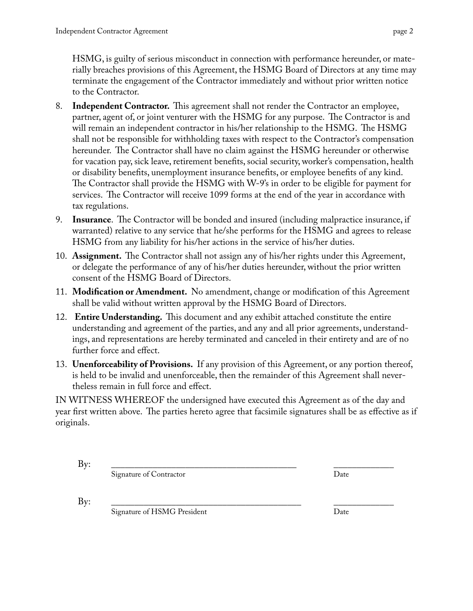HSMG, is guilty of serious misconduct in connection with performance hereunder, or materially breaches provisions of this Agreement, the HSMG Board of Directors at any time may terminate the engagement of the Contractor immediately and without prior written notice to the Contractor.

- 8. **Independent Contractor.** This agreement shall not render the Contractor an employee, partner, agent of, or joint venturer with the HSMG for any purpose. The Contractor is and will remain an independent contractor in his/her relationship to the HSMG. The HSMG shall not be responsible for withholding taxes with respect to the Contractor's compensation hereunder. The Contractor shall have no claim against the HSMG hereunder or otherwise for vacation pay, sick leave, retirement benefits, social security, worker's compensation, health or disability benefits, unemployment insurance benefits, or employee benefits of any kind. The Contractor shall provide the HSMG with W-9's in order to be eligible for payment for services. The Contractor will receive 1099 forms at the end of the year in accordance with tax regulations.
- 9. **Insurance**. The Contractor will be bonded and insured (including malpractice insurance, if warranted) relative to any service that he/she performs for the HSMG and agrees to release HSMG from any liability for his/her actions in the service of his/her duties.
- 10. **Assignment.** The Contractor shall not assign any of his/her rights under this Agreement, or delegate the performance of any of his/her duties hereunder, without the prior written consent of the HSMG Board of Directors.
- 11. **Modification or Amendment.** No amendment, change or modification of this Agreement shall be valid without written approval by the HSMG Board of Directors.
- 12. **Entire Understanding.** This document and any exhibit attached constitute the entire understanding and agreement of the parties, and any and all prior agreements, understandings, and representations are hereby terminated and canceled in their entirety and are of no further force and effect.
- 13. **Unenforceability of Provisions.** If any provision of this Agreement, or any portion thereof, is held to be invalid and unenforceable, then the remainder of this Agreement shall nevertheless remain in full force and effect.

IN WITNESS WHEREOF the undersigned have executed this Agreement as of the day and year first written above. The parties hereto agree that facsimile signatures shall be as effective as if originals.

By: \_\_\_\_\_\_\_\_\_\_\_\_\_\_\_\_\_\_\_\_\_\_\_\_\_\_\_\_\_\_\_\_\_\_\_\_\_\_\_\_ \_\_\_\_\_\_\_\_\_\_\_\_\_ Signature of Contractor Date

By: \_\_\_\_\_\_\_\_\_\_\_\_\_\_\_\_\_\_\_\_\_\_\_\_\_\_\_\_\_\_\_\_\_\_\_\_\_\_\_\_\_ \_\_\_\_\_\_\_\_\_\_\_\_\_ Signature of HSMG President Date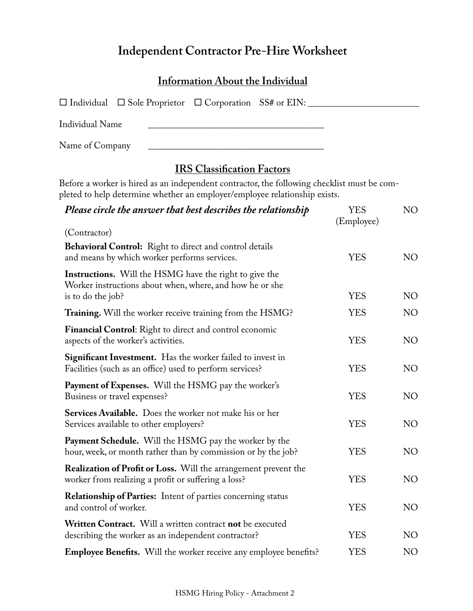# **Independent Contractor Pre-Hire Worksheet**

#### **Information About the Individual**

|                 | $\Box$ Individual $\Box$ Sole Proprietor $\Box$ Corporation SS# or EIN: |  |  |
|-----------------|-------------------------------------------------------------------------|--|--|
| Individual Name |                                                                         |  |  |

Name of Company

# **IRS Classification Factors**

Before a worker is hired as an independent contractor, the following checklist must be completed to help determine whether an employer/employee relationship exists.

| Please circle the answer that best describes the relationship                                                                                  | <b>YES</b><br>(Employee) | NO             |
|------------------------------------------------------------------------------------------------------------------------------------------------|--------------------------|----------------|
| (Contractor)                                                                                                                                   |                          |                |
| Behavioral Control: Right to direct and control details<br>and means by which worker performs services.                                        | <b>YES</b>               | N <sub>O</sub> |
| <b>Instructions.</b> Will the HSMG have the right to give the<br>Worker instructions about when, where, and how he or she<br>is to do the job? | <b>YES</b>               | NO             |
| Training. Will the worker receive training from the HSMG?                                                                                      | <b>YES</b>               | NO.            |
| Financial Control: Right to direct and control economic<br>aspects of the worker's activities.                                                 | <b>YES</b>               | NO             |
| Significant Investment. Has the worker failed to invest in<br>Facilities (such as an office) used to perform services?                         | <b>YES</b>               | NO             |
| <b>Payment of Expenses.</b> Will the HSMG pay the worker's<br>Business or travel expenses?                                                     | <b>YES</b>               | NO             |
| Services Available. Does the worker not make his or her<br>Services available to other employers?                                              | <b>YES</b>               | NO             |
| Payment Schedule. Will the HSMG pay the worker by the<br>hour, week, or month rather than by commission or by the job?                         | <b>YES</b>               | NO             |
| <b>Realization of Profit or Loss.</b> Will the arrangement prevent the<br>worker from realizing a profit or suffering a loss?                  | <b>YES</b>               | NO             |
| <b>Relationship of Parties:</b> Intent of parties concerning status<br>and control of worker.                                                  | <b>YES</b>               | N <sub>O</sub> |
| Written Contract. Will a written contract not be executed<br>describing the worker as an independent contractor?                               | <b>YES</b>               | NO             |
| <b>Employee Benefits.</b> Will the worker receive any employee benefits?                                                                       | <b>YES</b>               | N <sub>O</sub> |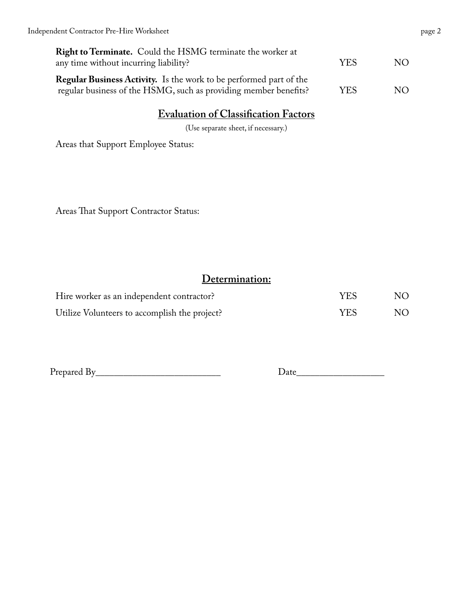| <b>Right to Terminate.</b> Could the HSMG terminate the worker at<br>any time without incurring liability?                                    | YES | NO. |
|-----------------------------------------------------------------------------------------------------------------------------------------------|-----|-----|
| <b>Regular Business Activity.</b> Is the work to be performed part of the<br>regular business of the HSMG, such as providing member benefits? | YES | NO. |

# **Evaluation of Classification Factors**

(Use separate sheet, if necessary.)

Areas that Support Employee Status:

Areas That Support Contractor Status:

### **Determination:**

| Hire worker as an independent contractor?     | <b>YES</b> | NO. |
|-----------------------------------------------|------------|-----|
| Utilize Volunteers to accomplish the project? | YES        | NO. |

Prepared By\_\_\_\_\_\_\_\_\_\_\_\_\_\_\_\_\_\_\_\_\_\_\_\_\_\_\_ Date\_\_\_\_\_\_\_\_\_\_\_\_\_\_\_\_\_\_\_

| Jate |  |  |
|------|--|--|
|      |  |  |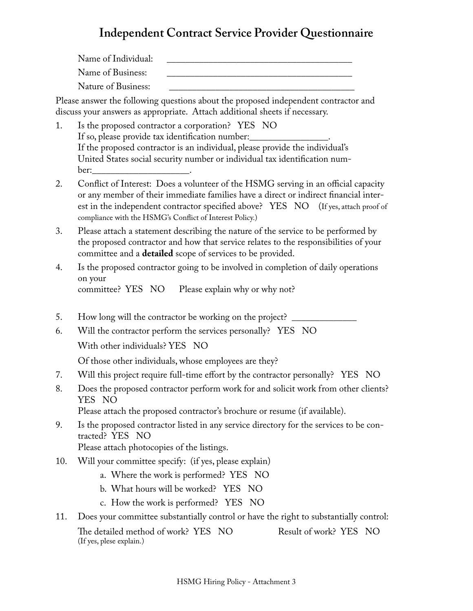# **Independent Contract Service Provider Questionnaire**

Name of Individual: Name of Business: Nature of Business:

Please answer the following questions about the proposed independent contractor and discuss your answers as appropriate. Attach additional sheets if necessary.

- 1. Is the proposed contractor a corporation? YES NO If so, please provide tax identification number: If the proposed contractor is an individual, please provide the individual's United States social security number or individual tax identification number:
- 2. Conflict of Interest: Does a volunteer of the HSMG serving in an official capacity or any member of their immediate families have a direct or indirect financial interest in the independent contractor specified above? YES NO (If yes, attach proof of compliance with the HSMG's Conflict of Interest Policy.)
- 3. Please attach a statement describing the nature of the service to be performed by the proposed contractor and how that service relates to the responsibilities of your committee and a **detailed** scope of services to be provided.
- 4. Is the proposed contractor going to be involved in completion of daily operations on your<br>committee? YES NO Please explain why or why not?
- 5. How long will the contractor be working on the project?
- 6. Will the contractor perform the services personally? YES NO With other individuals? YES NO

Of those other individuals, whose employees are they?

- 7. Will this project require full-time effort by the contractor personally? YES NO
- 8. Does the proposed contractor perform work for and solicit work from other clients? YES NO

Please attach the proposed contractor's brochure or resume (if available).

9. Is the proposed contractor listed in any service directory for the services to be contracted? YES NO

Please attach photocopies of the listings.

- 10. Will your committee specify: (if yes, please explain)
	- a. Where the work is performed? YES NO
	- b. What hours will be worked? YES NO
	- c. How the work is performed? YES NO
- 11. Does your committee substantially control or have the right to substantially control: The detailed method of work? YES NO Result of work? YES NO (If yes, plese explain.)